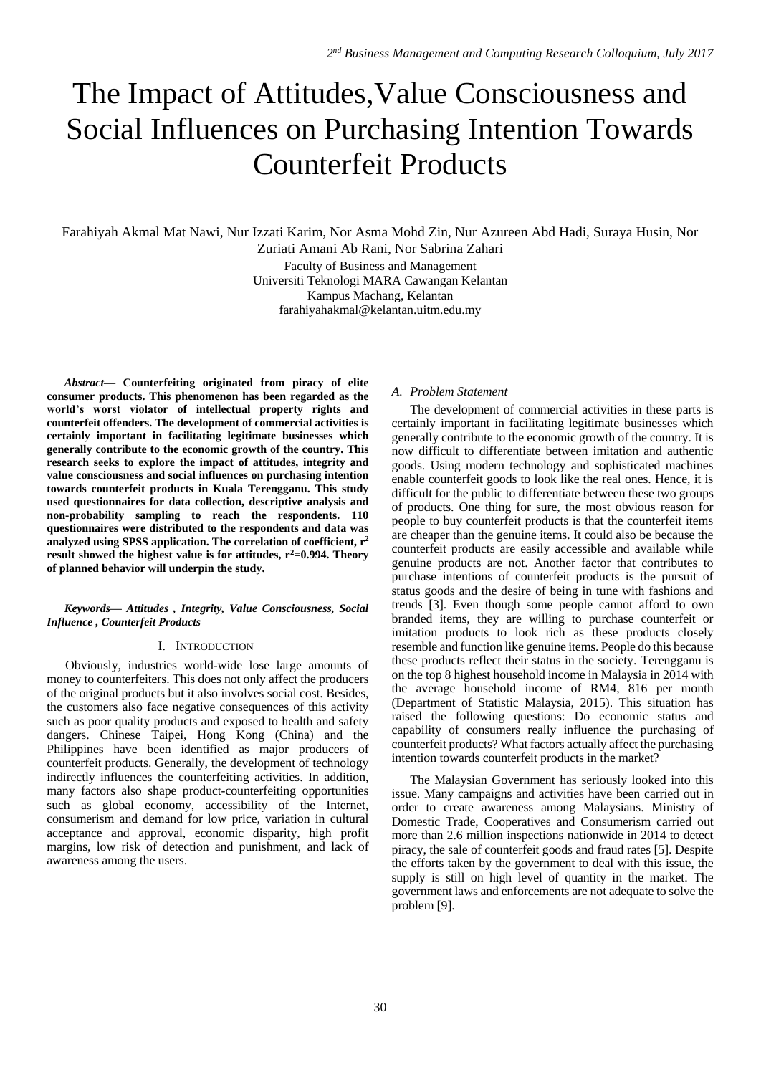# The Impact of Attitudes,Value Consciousness and Social Influences on Purchasing Intention Towards Counterfeit Products

Farahiyah Akmal Mat Nawi, Nur Izzati Karim, Nor Asma Mohd Zin, Nur Azureen Abd Hadi, Suraya Husin, Nor Zuriati Amani Ab Rani, Nor Sabrina Zahari

> Faculty of Business and Management Universiti Teknologi MARA Cawangan Kelantan Kampus Machang, Kelantan [farahiyahakmal@kelantan.uitm.edu.my](mailto:farahiyahakmal@kelantan.uitm.edu.my)

*Abstract***— Counterfeiting originated from piracy of elite consumer products. This phenomenon has been regarded as the world's worst violator of intellectual property rights and counterfeit offenders. The development of commercial activities is certainly important in facilitating legitimate businesses which generally contribute to the economic growth of the country. This research seeks to explore the impact of attitudes, integrity and value consciousness and social influences on purchasing intention towards counterfeit products in Kuala Terengganu. This study used questionnaires for data collection, descriptive analysis and non-probability sampling to reach the respondents. 110 questionnaires were distributed to the respondents and data was analyzed using SPSS application. The correlation of coefficient, r 2 result showed the highest value is for attitudes, r<sup>2</sup>=0.994. Theory of planned behavior will underpin the study.** 

### *Keywords— Attitudes , Integrity, Value Consciousness, Social Influence , Counterfeit Products*

#### I. INTRODUCTION

Obviously, industries world-wide lose large amounts of money to counterfeiters. This does not only affect the producers of the original products but it also involves social cost. Besides, the customers also face negative consequences of this activity such as poor quality products and exposed to health and safety dangers. Chinese Taipei, Hong Kong (China) and the Philippines have been identified as major producers of counterfeit products. Generally, the development of technology indirectly influences the counterfeiting activities. In addition, many factors also shape product-counterfeiting opportunities such as global economy, accessibility of the Internet, consumerism and demand for low price, variation in cultural acceptance and approval, economic disparity, high profit margins, low risk of detection and punishment, and lack of awareness among the users.

# *A. Problem Statement*

The development of commercial activities in these parts is certainly important in facilitating legitimate businesses which generally contribute to the economic growth of the country. It is now difficult to differentiate between imitation and authentic goods. Using modern technology and sophisticated machines enable counterfeit goods to look like the real ones. Hence, it is difficult for the public to differentiate between these two groups of products. One thing for sure, the most obvious reason for people to buy counterfeit products is that the counterfeit items are cheaper than the genuine items. It could also be because the counterfeit products are easily accessible and available while genuine products are not. Another factor that contributes to purchase intentions of counterfeit products is the pursuit of status goods and the desire of being in tune with fashions and trends [3]. Even though some people cannot afford to own branded items, they are willing to purchase counterfeit or imitation products to look rich as these products closely resemble and function like genuine items. People do this because these products reflect their status in the society. Terengganu is on the top 8 highest household income in Malaysia in 2014 with the average household income of RM4, 816 per month (Department of Statistic Malaysia, 2015). This situation has raised the following questions: Do economic status and capability of consumers really influence the purchasing of counterfeit products? What factors actually affect the purchasing intention towards counterfeit products in the market?

The Malaysian Government has seriously looked into this issue. Many campaigns and activities have been carried out in order to create awareness among Malaysians. Ministry of Domestic Trade, Cooperatives and Consumerism carried out more than 2.6 million inspections nationwide in 2014 to detect piracy, the sale of counterfeit goods and fraud rates [5]. Despite the efforts taken by the government to deal with this issue, the supply is still on high level of quantity in the market. The government laws and enforcements are not adequate to solve the problem [9].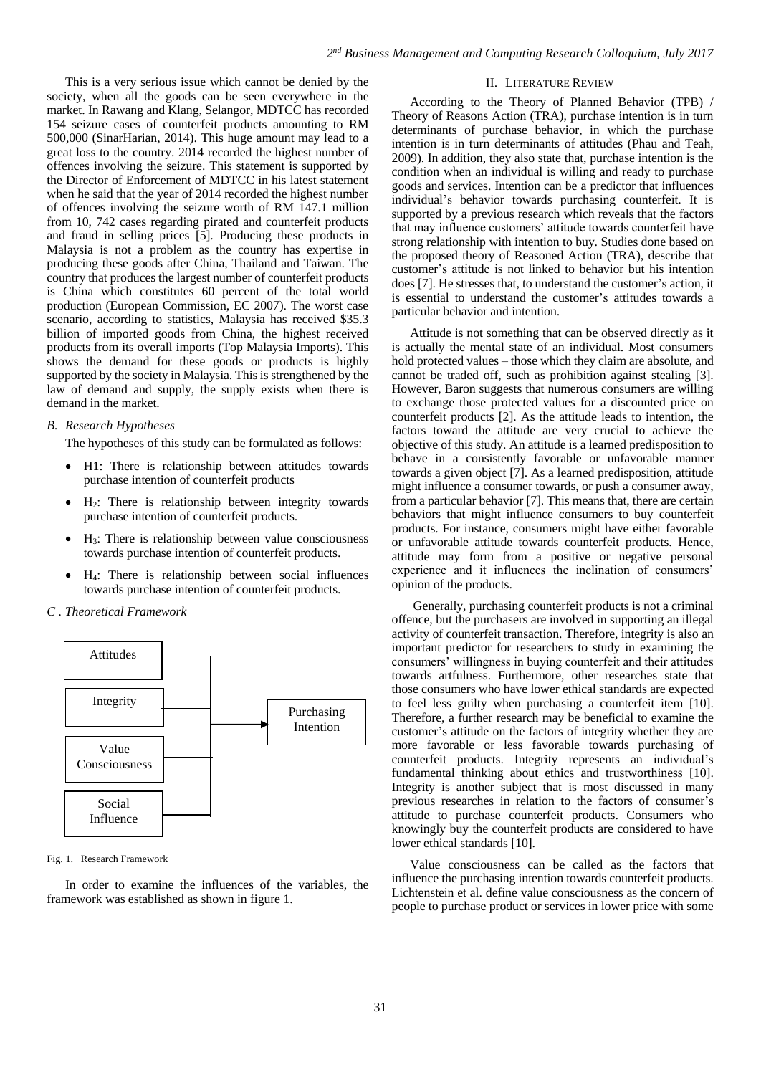This is a very serious issue which cannot be denied by the society, when all the goods can be seen everywhere in the market. In Rawang and Klang, Selangor, MDTCC has recorded 154 seizure cases of counterfeit products amounting to RM 500,000 (SinarHarian, 2014). This huge amount may lead to a great loss to the country. 2014 recorded the highest number of offences involving the seizure. This statement is supported by the Director of Enforcement of MDTCC in his latest statement when he said that the year of 2014 recorded the highest number of offences involving the seizure worth of RM 147.1 million from 10, 742 cases regarding pirated and counterfeit products and fraud in selling prices [5]. Producing these products in Malaysia is not a problem as the country has expertise in producing these goods after China, Thailand and Taiwan. The country that produces the largest number of counterfeit products is China which constitutes 60 percent of the total world production (European Commission, EC 2007). The worst case scenario, according to statistics, Malaysia has received \$35.3 billion of imported goods from China, the highest received products from its overall imports (Top Malaysia Imports). This shows the demand for these goods or products is highly supported by the society in Malaysia. This is strengthened by the law of demand and supply, the supply exists when there is demand in the market.

# *B. Research Hypotheses*

The hypotheses of this study can be formulated as follows:

- H1: There is relationship between attitudes towards purchase intention of counterfeit products
- H2: There is relationship between integrity towards purchase intention of counterfeit products.
- H<sub>3</sub>: There is relationship between value consciousness towards purchase intention of counterfeit products.
- H4: There is relationship between social influences towards purchase intention of counterfeit products.

# *C . Theoretical Framework*



#### Fig. 1. Research Framework

In order to examine the influences of the variables, the framework was established as shown in figure 1.

# II. LITERATURE REVIEW

According to the Theory of Planned Behavior (TPB) / Theory of Reasons Action (TRA), purchase intention is in turn determinants of purchase behavior, in which the purchase intention is in turn determinants of attitudes (Phau and Teah, 2009). In addition, they also state that, purchase intention is the condition when an individual is willing and ready to purchase goods and services. Intention can be a predictor that influences individual's behavior towards purchasing counterfeit. It is supported by a previous research which reveals that the factors that may influence customers' attitude towards counterfeit have strong relationship with intention to buy. Studies done based on the proposed theory of Reasoned Action (TRA), describe that customer's attitude is not linked to behavior but his intention does [7]. He stresses that, to understand the customer's action, it is essential to understand the customer's attitudes towards a particular behavior and intention.

Attitude is not something that can be observed directly as it is actually the mental state of an individual. Most consumers hold protected values – those which they claim are absolute, and cannot be traded off, such as prohibition against stealing [3]. However, Baron suggests that numerous consumers are willing to exchange those protected values for a discounted price on counterfeit products [2]. As the attitude leads to intention, the factors toward the attitude are very crucial to achieve the objective of this study. An attitude is a learned predisposition to behave in a consistently favorable or unfavorable manner towards a given object [7]. As a learned predisposition, attitude might influence a consumer towards, or push a consumer away, from a particular behavior [7]. This means that, there are certain behaviors that might influence consumers to buy counterfeit products. For instance, consumers might have either favorable or unfavorable attitude towards counterfeit products. Hence, attitude may form from a positive or negative personal experience and it influences the inclination of consumers' opinion of the products.

Generally, purchasing counterfeit products is not a criminal offence, but the purchasers are involved in supporting an illegal activity of counterfeit transaction. Therefore, integrity is also an important predictor for researchers to study in examining the consumers' willingness in buying counterfeit and their attitudes towards artfulness. Furthermore, other researches state that those consumers who have lower ethical standards are expected to feel less guilty when purchasing a counterfeit item [10]. Therefore, a further research may be beneficial to examine the customer's attitude on the factors of integrity whether they are more favorable or less favorable towards purchasing of counterfeit products. Integrity represents an individual's fundamental thinking about ethics and trustworthiness [10]. Integrity is another subject that is most discussed in many previous researches in relation to the factors of consumer's attitude to purchase counterfeit products. Consumers who knowingly buy the counterfeit products are considered to have lower ethical standards [10].

Value consciousness can be called as the factors that influence the purchasing intention towards counterfeit products. Lichtenstein et al. define value consciousness as the concern of people to purchase product or services in lower price with some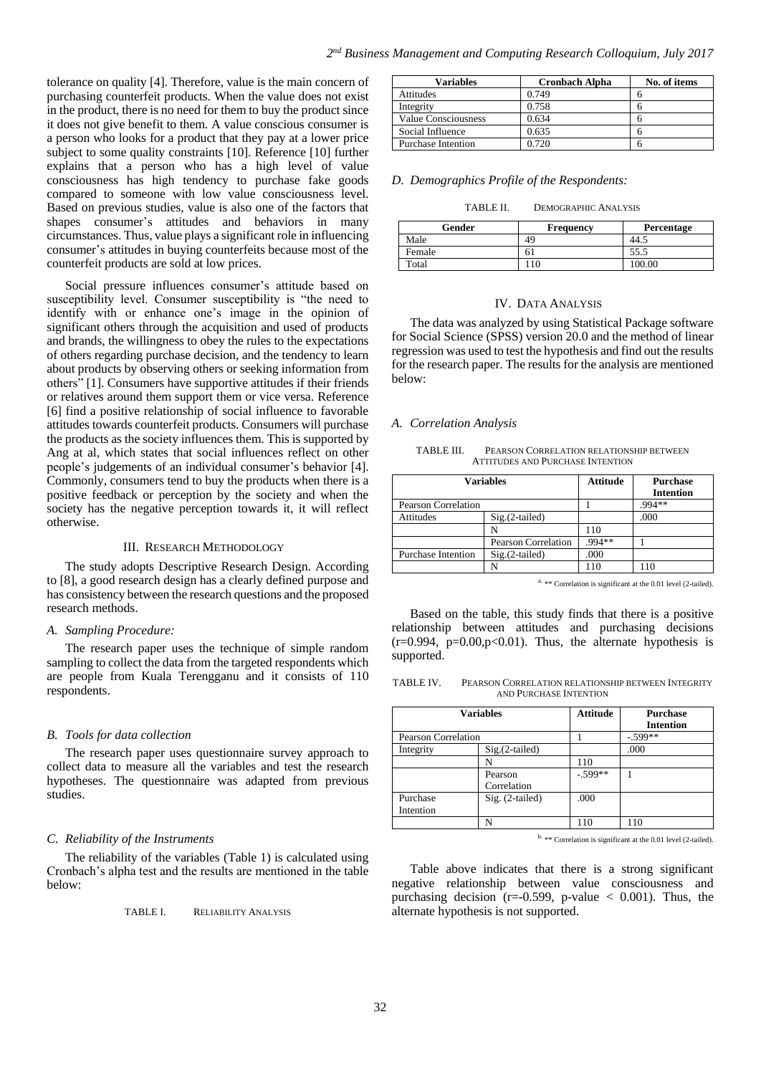tolerance on quality [4]. Therefore, value is the main concern of purchasing counterfeit products. When the value does not exist in the product, there is no need for them to buy the product since it does not give benefit to them. A value conscious consumer is a person who looks for a product that they pay at a lower price subject to some quality constraints [10]. Reference [10] further explains that a person who has a high level of value consciousness has high tendency to purchase fake goods compared to someone with low value consciousness level. Based on previous studies, value is also one of the factors that shapes consumer's attitudes and behaviors in many circumstances. Thus, value plays a significant role in influencing consumer's attitudes in buying counterfeits because most of the counterfeit products are sold at low prices.

Social pressure influences consumer's attitude based on susceptibility level. Consumer susceptibility is "the need to identify with or enhance one's image in the opinion of significant others through the acquisition and used of products and brands, the willingness to obey the rules to the expectations of others regarding purchase decision, and the tendency to learn about products by observing others or seeking information from others" [1]. Consumers have supportive attitudes if their friends or relatives around them support them or vice versa. Reference [6] find a positive relationship of social influence to favorable attitudes towards counterfeit products. Consumers will purchase the products as the society influences them. This is supported by Ang at al, which states that social influences reflect on other people's judgements of an individual consumer's behavior [4]. Commonly, consumers tend to buy the products when there is a positive feedback or perception by the society and when the society has the negative perception towards it, it will reflect otherwise.

#### III. RESEARCH METHODOLOGY

The study adopts Descriptive Research Design. According to [8], a good research design has a clearly defined purpose and has consistency between the research questions and the proposed research methods.

#### *A. Sampling Procedure:*

The research paper uses the technique of simple random sampling to collect the data from the targeted respondents which are people from Kuala Terengganu and it consists of 110 respondents.

#### *B. Tools for data collection*

The research paper uses questionnaire survey approach to collect data to measure all the variables and test the research hypotheses. The questionnaire was adapted from previous studies.

# *C. Reliability of the Instruments*

The reliability of the variables (Table 1) is calculated using Cronbach's alpha test and the results are mentioned in the table below:

TABLE I. RELIABILITY ANALYSIS

| <b>Variables</b>           | <b>Cronbach Alpha</b> | No. of items |
|----------------------------|-----------------------|--------------|
| Attitudes                  | 0.749                 |              |
| Integrity                  | 0.758                 |              |
| <b>Value Consciousness</b> | 0.634                 |              |
| Social Influence           | 0.635                 |              |
| <b>Purchase Intention</b>  | 0.720                 |              |

### *D. Demographics Profile of the Respondents:*

#### TABLE II. DEMOGRAPHIC ANALYSIS

| Gender | <b>Frequency</b> | Percentage |
|--------|------------------|------------|
| Male   | 49               | 44.5       |
| Female | 61               | 55.5       |
| Total  | 10               | 100.00     |

#### IV. DATA ANALYSIS

The data was analyzed by using Statistical Package software for Social Science (SPSS) version 20.0 and the method of linear regression was used to test the hypothesis and find out the results for the research paper. The results for the analysis are mentioned below:

#### *A. Correlation Analysis*

TABLE III. PEARSON CORRELATION RELATIONSHIP BETWEEN ATTITUDES AND PURCHASE INTENTION

|                           | <b>Variables</b>    | <b>Attitude</b> | <b>Purchase</b><br><b>Intention</b> |
|---------------------------|---------------------|-----------------|-------------------------------------|
| Pearson Correlation       |                     |                 | 994**                               |
| Attitudes                 | $Sig.(2-tailed)$    |                 | .000                                |
|                           | N                   | 110             |                                     |
|                           | Pearson Correlation | .994 **         |                                     |
| <b>Purchase Intention</b> | $Sig.(2-tailed)$    | .000            |                                     |
|                           |                     | 110             | 10                                  |

 $a.$  \*\* Correlation is significant at the 0.01 level (2-tailed).

Based on the table, this study finds that there is a positive relationship between attitudes and purchasing decisions  $(r=0.994, p=0.00, p<0.01)$ . Thus, the alternate hypothesis is supported.

TABLE IV. PEARSON CORRELATION RELATIONSHIP BETWEEN INTEGRITY AND PURCHASE INTENTION

| Variables             |                        | <b>Attitude</b> | <b>Purchase</b><br><b>Intention</b> |
|-----------------------|------------------------|-----------------|-------------------------------------|
| Pearson Correlation   |                        |                 | $-.599**$                           |
| Integrity             | $Sig.(2-tailed)$       |                 | .000                                |
|                       |                        | 110             |                                     |
|                       | Pearson<br>Correlation | $-.599**$       |                                     |
| Purchase<br>Intention | Sig. (2-tailed)        | .000            |                                     |
|                       |                        | 110             |                                     |

b. \*\* Correlation is significant at the 0.01 level (2-tailed).

Table above indicates that there is a strong significant negative relationship between value consciousness and purchasing decision ( $r = -0.599$ ,  $p$ -value  $\lt$  0.001). Thus, the alternate hypothesis is not supported.